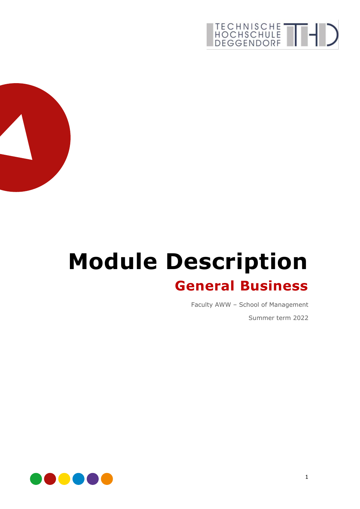



# **Module Description General Business**

Faculty AWW – School of Management

Summer term 2022

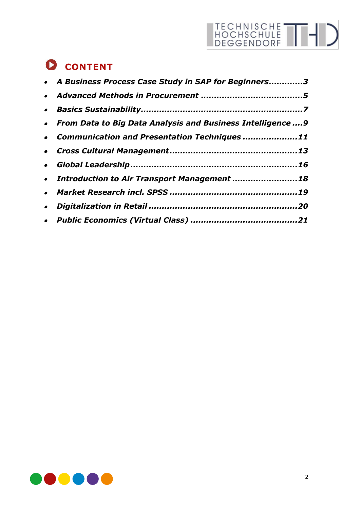## **CONTENT**

| • A Business Process Case Study in SAP for Beginners3         |  |
|---------------------------------------------------------------|--|
|                                                               |  |
|                                                               |  |
| • From Data to Big Data Analysis and Business Intelligence  9 |  |
| • Communication and Presentation Techniques 11                |  |
|                                                               |  |
|                                                               |  |
| • Introduction to Air Transport Management 18                 |  |
|                                                               |  |
|                                                               |  |
|                                                               |  |

TECHNISCHE THI

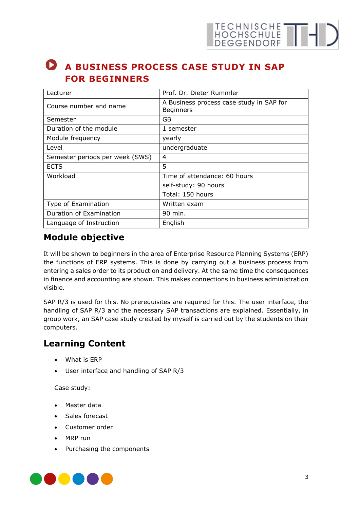## <span id="page-2-0"></span>**A BUSINESS PROCESS CASE STUDY IN SAP FOR BEGINNERS**

| Lecturer                        | Prof. Dr. Dieter Rummler                                     |
|---------------------------------|--------------------------------------------------------------|
| Course number and name          | A Business process case study in SAP for<br><b>Beginners</b> |
| Semester                        | GB                                                           |
| Duration of the module          | 1 semester                                                   |
| Module frequency                | yearly                                                       |
| Level                           | undergraduate                                                |
| Semester periods per week (SWS) | 4                                                            |
| <b>ECTS</b>                     | 5                                                            |
| Workload                        | Time of attendance: 60 hours                                 |
|                                 | self-study: 90 hours                                         |
|                                 | Total: 150 hours                                             |
| Type of Examination             | Written exam                                                 |
| Duration of Examination         | 90 min.                                                      |
| Language of Instruction         | English                                                      |

#### **Module objective**

It will be shown to beginners in the area of Enterprise Resource Planning Systems (ERP) the functions of ERP systems. This is done by carrying out a business process from entering a sales order to its production and delivery. At the same time the consequences in finance and accounting are shown. This makes connections in business administration visible.

SAP R/3 is used for this. No prerequisites are required for this. The user interface, the handling of SAP R/3 and the necessary SAP transactions are explained. Essentially, in group work, an SAP case study created by myself is carried out by the students on their computers.

#### **Learning Content**

- What is ERP
- User interface and handling of SAP R/3

Case study:

- Master data
- Sales forecast
- Customer order
- MRP run
- Purchasing the components

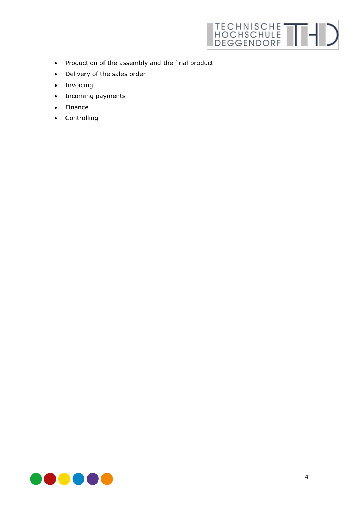

- Production of the assembly and the final product
- Delivery of the sales order
- Invoicing
- Incoming payments
- Finance
- Controlling

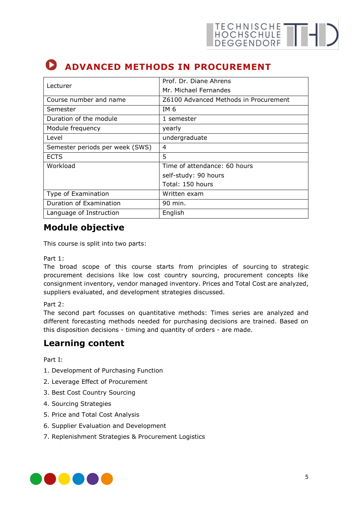## <span id="page-4-0"></span>**ADVANCED METHODS IN PROCUREMENT**

| Lecturer                        | Prof. Dr. Diane Ahrens                |
|---------------------------------|---------------------------------------|
|                                 | Mr. Michael Fernandes                 |
| Course number and name          | Z6100 Advanced Methods in Procurement |
| Semester                        | IM 6                                  |
| Duration of the module          | 1 semester                            |
| Module frequency                | yearly                                |
| Level                           | undergraduate                         |
| Semester periods per week (SWS) | 4                                     |
| <b>ECTS</b>                     | 5                                     |
| Workload                        | Time of attendance: 60 hours          |
|                                 | self-study: 90 hours                  |
|                                 | Total: 150 hours                      |
| Type of Examination             | Written exam                          |
| Duration of Examination         | 90 min.                               |
| Language of Instruction         | English                               |

### **Module objective**

This course is split into two parts:

Part 1:

The broad scope of this course starts from principles of sourcing to strategic procurement decisions like low cost country sourcing, procurement concepts like consignment inventory, vendor managed inventory. Prices and Total Cost are analyzed, suppliers evaluated, and development strategies discussed.

Part 2:

The second part focusses on quantitative methods: Times series are analyzed and different forecasting methods needed for purchasing decisions are trained. Based on this disposition decisions - timing and quantity of orders - are made.

#### **Learning content**

Part I:

- 1. Development of Purchasing Function
- 2. Leverage Effect of Procurement
- 3. Best Cost Country Sourcing
- 4. Sourcing Strategies
- 5. Price and Total Cost Analysis
- 6. Supplier Evaluation and Development
- 7. Replenishment Strategies & Procurement Logistics

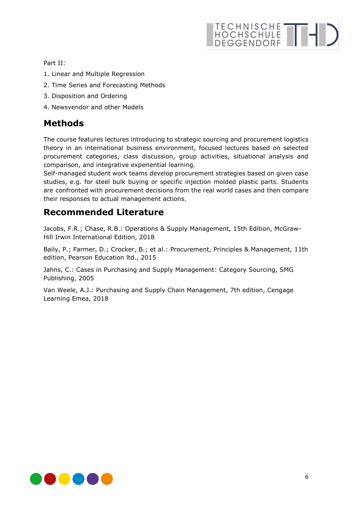# HOCHSCHULE THE DEGGENDORF

Part II:

- 1. Linear and Multiple Regression
- 2. Time Series and Forecasting Methods
- 3. Disposition and Ordering
- 4. Newsvendor and other Models

#### **Methods**

The course features lectures introducing to strategic sourcing and procurement logistics theory in an international business environment, focused lectures based on selected procurement categories, class discussion, group activities, situational analysis and comparison, and integrative experiential learning.

Self-managed student work teams develop procurement strategies based on given case studies, e.g. for steel bulk buying or specific injection molded plastic parts. Students are confronted with procurement decisions from the real world cases and then compare their responses to actual management actions.

#### **Recommended Literature**

Jacobs, F.R.; Chase, R.B.: Operations & Supply Management, 15th Edition, McGraw-Hill Irwin International Edition, 2018

Baily, P.; Farmer, D.; Crocker, B.; et al.: Procurement, Principles & Management, 11th edition, Pearson Education ltd., 2015

Jahns, C.: Cases in Purchasing and Supply Management: Category Sourcing, SMG Publishing, 2005

Van Weele, A.J.: Purchasing and Supply Chain Management, 7th edition, Cengage Learning Emea, 2018

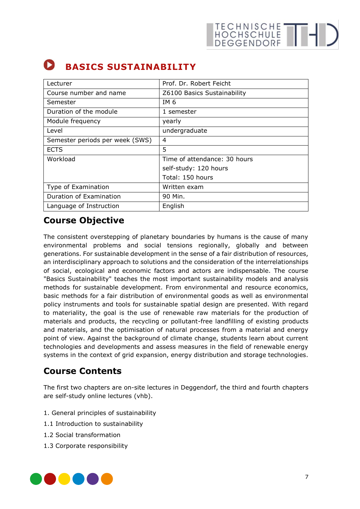## <span id="page-6-0"></span>**BASICS SUSTAINABILITY**

| Lecturer                        | Prof. Dr. Robert Feicht      |
|---------------------------------|------------------------------|
| Course number and name          | Z6100 Basics Sustainability  |
| Semester                        | IM 6                         |
| Duration of the module          | 1 semester                   |
| Module frequency                | yearly                       |
| Level                           | undergraduate                |
| Semester periods per week (SWS) | 4                            |
| <b>ECTS</b>                     | 5                            |
| Workload                        | Time of attendance: 30 hours |
|                                 | self-study: 120 hours        |
|                                 | Total: 150 hours             |
| Type of Examination             | Written exam                 |
| Duration of Examination         | 90 Min.                      |
| Language of Instruction         | English                      |

### **Course Objective**

The consistent overstepping of planetary boundaries by humans is the cause of many environmental problems and social tensions regionally, globally and between generations. For sustainable development in the sense of a fair distribution of resources, an interdisciplinary approach to solutions and the consideration of the interrelationships of social, ecological and economic factors and actors are indispensable. The course "Basics Sustainability" teaches the most important sustainability models and analysis methods for sustainable development. From environmental and resource economics, basic methods for a fair distribution of environmental goods as well as environmental policy instruments and tools for sustainable spatial design are presented. With regard to materiality, the goal is the use of renewable raw materials for the production of materials and products, the recycling or pollutant-free landfilling of existing products and materials, and the optimisation of natural processes from a material and energy point of view. Against the background of climate change, students learn about current technologies and developments and assess measures in the field of renewable energy systems in the context of grid expansion, energy distribution and storage technologies.

### **Course Contents**

The first two chapters are on-site lectures in Deggendorf, the third and fourth chapters are self-study online lectures (vhb).

- 1. General principles of sustainability
- 1.1 Introduction to sustainability
- 1.2 Social transformation
- 1.3 Corporate responsibility

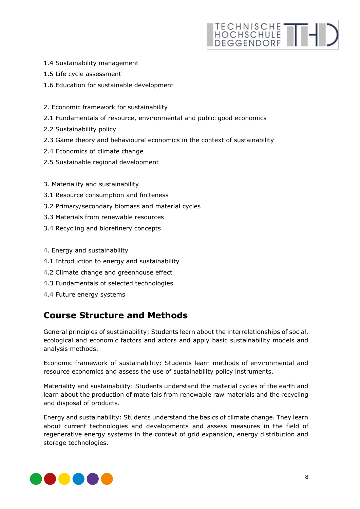# HOCHSCHULE THE

- 1.4 Sustainability management
- 1.5 Life cycle assessment
- 1.6 Education for sustainable development
- 2. Economic framework for sustainability
- 2.1 Fundamentals of resource, environmental and public good economics
- 2.2 Sustainability policy
- 2.3 Game theory and behavioural economics in the context of sustainability
- 2.4 Economics of climate change
- 2.5 Sustainable regional development
- 3. Materiality and sustainability
- 3.1 Resource consumption and finiteness
- 3.2 Primary/secondary biomass and material cycles
- 3.3 Materials from renewable resources
- 3.4 Recycling and biorefinery concepts
- 4. Energy and sustainability
- 4.1 Introduction to energy and sustainability
- 4.2 Climate change and greenhouse effect
- 4.3 Fundamentals of selected technologies
- 4.4 Future energy systems

#### **Course Structure and Methods**

General principles of sustainability: Students learn about the interrelationships of social, ecological and economic factors and actors and apply basic sustainability models and analysis methods.

Economic framework of sustainability: Students learn methods of environmental and resource economics and assess the use of sustainability policy instruments.

Materiality and sustainability: Students understand the material cycles of the earth and learn about the production of materials from renewable raw materials and the recycling and disposal of products.

Energy and sustainability: Students understand the basics of climate change. They learn about current technologies and developments and assess measures in the field of regenerative energy systems in the context of grid expansion, energy distribution and storage technologies.

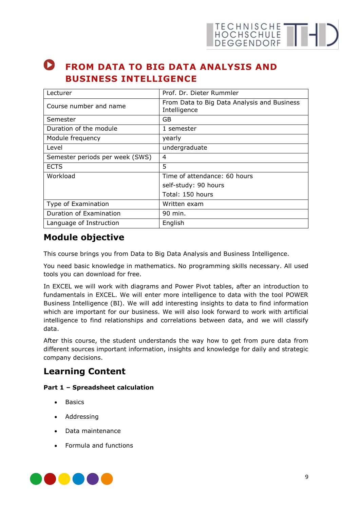

### <span id="page-8-0"></span>**P** FROM DATA TO BIG DATA ANALYSIS AND **BUSINESS INTELLIGENCE**

| Lecturer                        | Prof. Dr. Dieter Rummler                                    |
|---------------------------------|-------------------------------------------------------------|
| Course number and name          | From Data to Big Data Analysis and Business<br>Intelligence |
| Semester                        | GB                                                          |
| Duration of the module          | 1 semester                                                  |
| Module frequency                | yearly                                                      |
| Level                           | undergraduate                                               |
| Semester periods per week (SWS) | 4                                                           |
| <b>ECTS</b>                     | 5                                                           |
| Workload                        | Time of attendance: 60 hours                                |
|                                 | self-study: 90 hours                                        |
|                                 | Total: 150 hours                                            |
| Type of Examination             | Written exam                                                |
| Duration of Examination         | 90 min.                                                     |
| Language of Instruction         | English                                                     |

#### **Module objective**

This course brings you from Data to Big Data Analysis and Business Intelligence.

You need basic knowledge in mathematics. No programming skills necessary. All used tools you can download for free.

In EXCEL we will work with diagrams and Power Pivot tables, after an introduction to fundamentals in EXCEL. We will enter more intelligence to data with the tool POWER Business Intelligence (BI). We will add interesting insights to data to find information which are important for our business. We will also look forward to work with artificial intelligence to find relationships and correlations between data, and we will classify data.

After this course, the student understands the way how to get from pure data from different sources important information, insights and knowledge for daily and strategic company decisions.

#### **Learning Content**

#### **Part 1 – Spreadsheet calculation**

- Basics
- Addressing
- Data maintenance
- Formula and functions

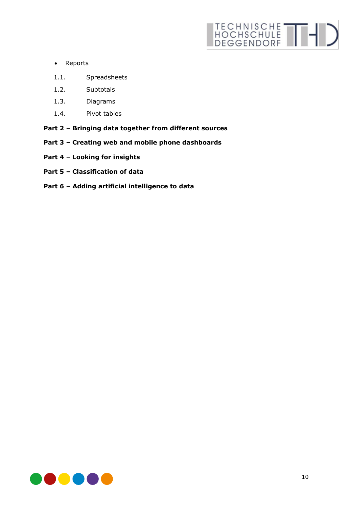# HOCHSCHULE THIS

- Reports
- 1.1. Spreadsheets
- 1.2. Subtotals
- 1.3. Diagrams
- 1.4. Pivot tables
- **Part 2 – Bringing data together from different sources**
- **Part 3 – Creating web and mobile phone dashboards**
- **Part 4 – Looking for insights**
- **Part 5 – Classification of data**
- **Part 6 – Adding artificial intelligence to data**

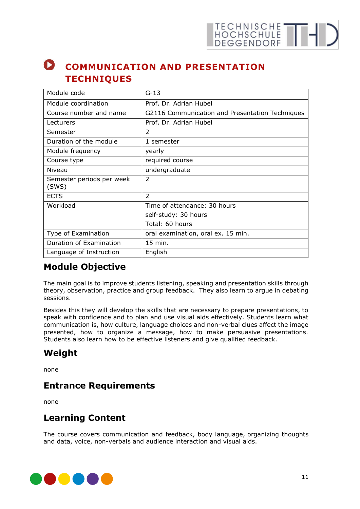# TECHNISCHE THE

## <span id="page-10-0"></span>**COMMUNICATION AND PRESENTATION TECHNIQUES**

| Module code                        | $G-13$                                          |
|------------------------------------|-------------------------------------------------|
| Module coordination                | Prof. Dr. Adrian Hubel                          |
| Course number and name             | G2116 Communication and Presentation Techniques |
| Lecturers                          | Prof. Dr. Adrian Hubel                          |
| Semester                           | $\overline{2}$                                  |
| Duration of the module             | 1 semester                                      |
| Module frequency                   | yearly                                          |
| Course type                        | required course                                 |
| Niveau                             | undergraduate                                   |
| Semester periods per week<br>(SWS) | 2                                               |
| <b>ECTS</b>                        | $\overline{2}$                                  |
| Workload                           | Time of attendance: 30 hours                    |
|                                    | self-study: 30 hours                            |
|                                    | Total: 60 hours                                 |
| Type of Examination                | oral examination, oral ex. 15 min.              |
| Duration of Examination            | 15 min.                                         |
| Language of Instruction            | English                                         |

### **Module Objective**

The main goal is to improve students listening, speaking and presentation skills through theory, observation, practice and group feedback. They also learn to argue in debating sessions.

Besides this they will develop the skills that are necessary to prepare presentations, to speak with confidence and to plan and use visual aids effectively. Students learn what communication is, how culture, language choices and non-verbal clues affect the image presented, how to organize a message, how to make persuasive presentations. Students also learn how to be effective listeners and give qualified feedback.

### **Weight**

none

#### **Entrance Requirements**

none

#### **Learning Content**

The course covers communication and feedback, body language, organizing thoughts and data, voice, non-verbals and audience interaction and visual aids.

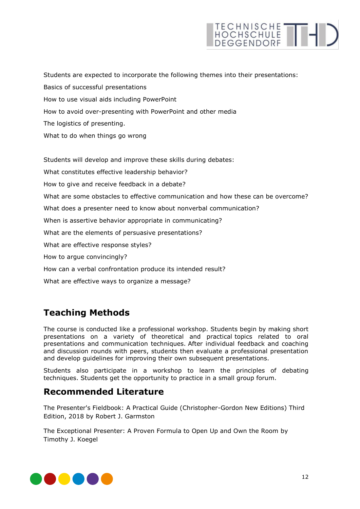# TECHNISCHE THIS

Students are expected to incorporate the following themes into their presentations: Basics of successful presentations How to use visual aids including PowerPoint How to avoid over-presenting with PowerPoint and other media The logistics of presenting. What to do when things go wrong

Students will develop and improve these skills during debates: What constitutes effective leadership behavior? How to give and receive feedback in a debate? What are some obstacles to effective communication and how these can be overcome? What does a presenter need to know about nonverbal communication? When is assertive behavior appropriate in communicating? What are the elements of persuasive presentations? What are effective response styles? How to argue convincingly? How can a verbal confrontation produce its intended result? What are effective ways to organize a message?

### **Teaching Methods**

The course is conducted like a professional workshop. Students begin by making short presentations on a variety of theoretical and practical topics related to oral presentations and communication techniques. After individual feedback and coaching and discussion rounds with peers, students then evaluate a professional presentation and develop guidelines for improving their own subsequent presentations.

Students also participate in a workshop to learn the principles of debating techniques. Students get the opportunity to practice in a small group forum.

#### **Recommended Literature**

The Presenter's Fieldbook: A Practical Guide (Christopher-Gordon New Editions) Third Edition, 2018 by Robert J. Garmston

The Exceptional Presenter: A Proven Formula to Open Up and Own the Room by Timothy J. Koegel

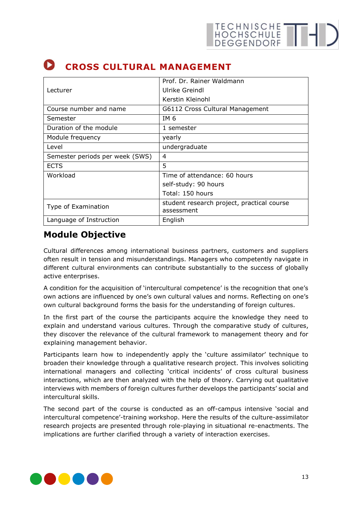|                                 | Prof. Dr. Rainer Waldmann                                |
|---------------------------------|----------------------------------------------------------|
| Lecturer                        | Ulrike Greindl                                           |
|                                 | Kerstin Kleinohl                                         |
| Course number and name          | G6112 Cross Cultural Management                          |
| Semester                        | IM 6                                                     |
| Duration of the module          | 1 semester                                               |
| Module frequency                | yearly                                                   |
| Level                           | undergraduate                                            |
| Semester periods per week (SWS) | 4                                                        |
| <b>ECTS</b>                     | 5                                                        |
| Workload                        | Time of attendance: 60 hours                             |
|                                 | self-study: 90 hours                                     |
|                                 | Total: 150 hours                                         |
| Type of Examination             | student research project, practical course<br>assessment |
| Language of Instruction         | English                                                  |

## <span id="page-12-0"></span>**CROSS CULTURAL MANAGEMENT**

#### **Module Objective**

Cultural differences among international business partners, customers and suppliers often result in tension and misunderstandings. Managers who competently navigate in different cultural environments can contribute substantially to the success of globally active enterprises.

A condition for the acquisition of 'intercultural competence' is the recognition that one's own actions are influenced by one's own cultural values and norms. Reflecting on one's own cultural background forms the basis for the understanding of foreign cultures.

In the first part of the course the participants acquire the knowledge they need to explain and understand various cultures. Through the comparative study of cultures, they discover the relevance of the cultural framework to management theory and for explaining management behavior.

Participants learn how to independently apply the 'culture assimilator' technique to broaden their knowledge through a qualitative research project. This involves soliciting international managers and collecting 'critical incidents' of cross cultural business interactions, which are then analyzed with the help of theory. Carrying out qualitative interviews with members of foreign cultures further develops the participants' social and intercultural skills.

The second part of the course is conducted as an off-campus intensive 'social and intercultural competence'-training workshop. Here the results of the culture-assimilator research projects are presented through role-playing in situational re-enactments. The implications are further clarified through a variety of interaction exercises.

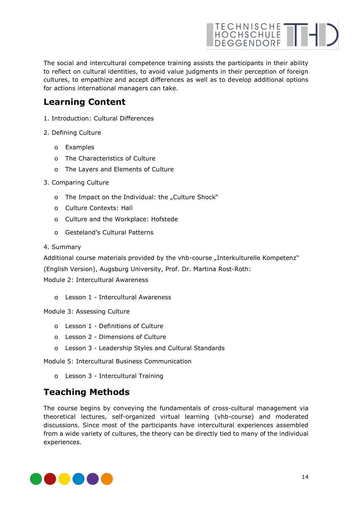

The social and intercultural competence training assists the participants in their ability to reflect on cultural identities, to avoid value judgments in their perception of foreign cultures, to empathize and accept differences as well as to develop additional options for actions international managers can take.

#### **Learning Content**

- 1. Introduction: Cultural Differences
- 2. Defining Culture
	- o Examples
	- o The Characteristics of Culture
	- o The Layers and Elements of Culture
- 3. Comparing Culture
	- o The Impact on the Individual: the "Culture Shock"
	- o Culture Contexts: Hall
	- o Culture and the Workplace: Hofstede
	- o Gesteland's Cultural Patterns
- 4. Summary

Additional course materials provided by the vhb-course "Interkulturelle Kompetenz"

(English Version), Augsburg University, Prof. Dr. Martina Rost-Roth:

Module 2: Intercultural Awareness

o Lesson 1 - Intercultural Awareness

Module 3: Assessing Culture

- o Lesson 1 Definitions of Culture
- o Lesson 2 Dimensions of Culture
- o Lesson 3 Leadership Styles and Cultural Standards

Module 5: Intercultural Business Communication

o Lesson 3 - Intercultural Training

#### **Teaching Methods**

The course begins by conveying the fundamentals of cross-cultural management via theoretical lectures, self-organized virtual learning (vhb-course) and moderated discussions. Since most of the participants have intercultural experiences assembled from a wide variety of cultures, the theory can be directly tied to many of the individual experiences.

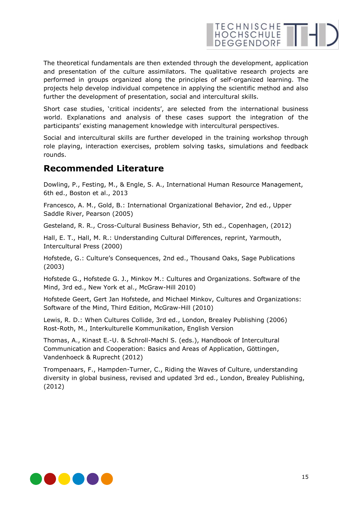# HOCHSCHULE THE

The theoretical fundamentals are then extended through the development, application and presentation of the culture assimilators. The qualitative research projects are performed in groups organized along the principles of self-organized learning. The projects help develop individual competence in applying the scientific method and also further the development of presentation, social and intercultural skills.

Short case studies, 'critical incidents', are selected from the international business world. Explanations and analysis of these cases support the integration of the participants' existing management knowledge with intercultural perspectives.

Social and intercultural skills are further developed in the training workshop through role playing, interaction exercises, problem solving tasks, simulations and feedback rounds.

#### **Recommended Literature**

Dowling, P., Festing, M., & Engle, S. A., International Human Resource Management, 6th ed., Boston et al., 2013

Francesco, A. M., Gold, B.: International Organizational Behavior, 2nd ed., Upper Saddle River, Pearson (2005)

Gesteland, R. R., Cross-Cultural Business Behavior, 5th ed., Copenhagen, (2012)

Hall, E. T., Hall, M. R.: Understanding Cultural Differences, reprint, Yarmouth, Intercultural Press (2000)

Hofstede, G.: Culture's Consequences, 2nd ed., Thousand Oaks, Sage Publications (2003)

Hofstede G., Hofstede G. J., Minkov M.: Cultures and Organizations. Software of the Mind, 3rd ed., New York et al., McGraw-Hill 2010)

Hofstede Geert, Gert Jan Hofstede, and Michael Minkov, Cultures and Organizations: Software of the Mind, Third Edition, McGraw-Hill (2010)

Lewis, R. D.: When Cultures Collide, 3rd ed., London, Brealey Publishing (2006) Rost-Roth, M., Interkulturelle Kommunikation, English Version

Thomas, A., Kinast E.-U. & Schroll-Machl S. (eds.), Handbook of Intercultural Communication and Cooperation: Basics and Areas of Application, Göttingen, Vandenhoeck & Ruprecht (2012)

Trompenaars, F., Hampden-Turner, C., Riding the Waves of Culture, understanding diversity in global business, revised and updated 3rd ed., London, Brealey Publishing, (2012)

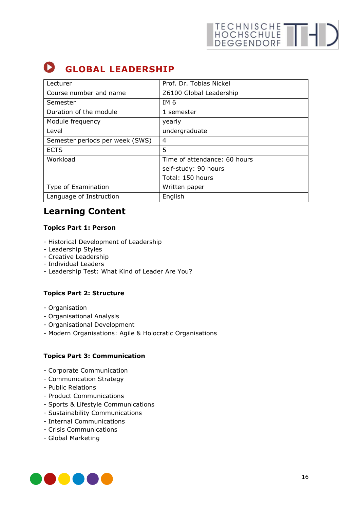## <span id="page-15-0"></span>**GLOBAL LEADERSHIP**

| Lecturer                        | Prof. Dr. Tobias Nickel      |
|---------------------------------|------------------------------|
| Course number and name          | Z6100 Global Leadership      |
| Semester                        | IM 6                         |
| Duration of the module          | 1 semester                   |
| Module frequency                | yearly                       |
| Level                           | undergraduate                |
| Semester periods per week (SWS) | 4                            |
| <b>ECTS</b>                     | 5                            |
| Workload                        | Time of attendance: 60 hours |
|                                 | self-study: 90 hours         |
|                                 | Total: 150 hours             |
| Type of Examination             | Written paper                |
| Language of Instruction         | English                      |

### **Learning Content**

#### **Topics Part 1: Person**

- Historical Development of Leadership
- Leadership Styles
- Creative Leadership
- Individual Leaders
- Leadership Test: What Kind of Leader Are You?

#### **Topics Part 2: Structure**

- Organisation
- Organisational Analysis
- Organisational Development
- Modern Organisations: Agile & Holocratic Organisations

#### **Topics Part 3: Communication**

- Corporate Communication
- Communication Strategy
- Public Relations
- Product Communications
- Sports & Lifestyle Communications
- Sustainability Communications
- Internal Communications
- Crisis Communications
- Global Marketing

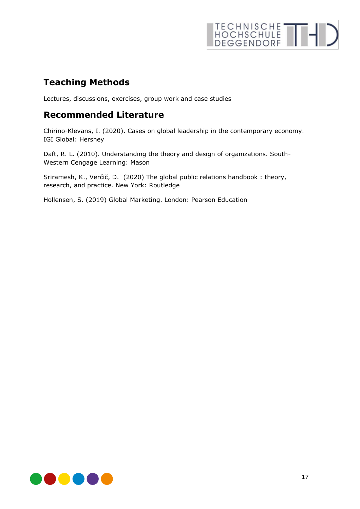# TECHNISCHE THID

### **Teaching Methods**

Lectures, discussions, exercises, group work and case studies

#### **Recommended Literature**

Chirino-Klevans, I. (2020). Cases on global leadership in the contemporary economy. IGI Global: Hershey

Daft, R. L. (2010). Understanding the theory and design of organizations. South-Western Cengage Learning: Mason

Sriramesh, K., Verčič, D. (2020) The global public relations handbook : theory, research, and practice. New York: Routledge

Hollensen, S. (2019) Global Marketing. London: Pearson Education

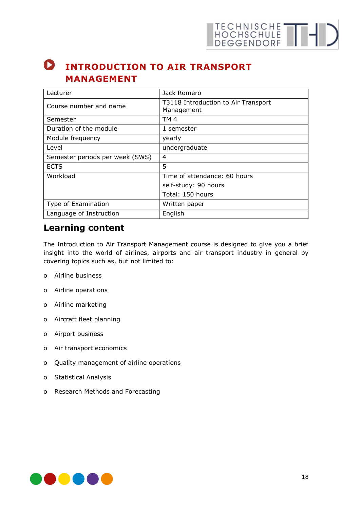# TECHNISCHE THID

#### <span id="page-17-0"></span> $\bullet$ **INTRODUCTION TO AIR TRANSPORT MANAGEMENT**

| Lecturer                        | Jack Romero                                       |
|---------------------------------|---------------------------------------------------|
| Course number and name          | T3118 Introduction to Air Transport<br>Management |
| Semester                        | TM <sub>4</sub>                                   |
| Duration of the module          | 1 semester                                        |
| Module frequency                | yearly                                            |
| Level                           | undergraduate                                     |
| Semester periods per week (SWS) | 4                                                 |
| <b>ECTS</b>                     | 5                                                 |
| Workload                        | Time of attendance: 60 hours                      |
|                                 | self-study: 90 hours                              |
|                                 | Total: 150 hours                                  |
| Type of Examination             | Written paper                                     |
| Language of Instruction         | English                                           |

#### **Learning content**

The Introduction to Air Transport Management course is designed to give you a brief insight into the world of airlines, airports and air transport industry in general by covering topics such as, but not limited to:

- o Airline business
- o Airline operations
- o Airline marketing
- o Aircraft fleet planning
- o Airport business
- o Air transport economics
- o Quality management of airline operations
- o Statistical Analysis
- o Research Methods and Forecasting

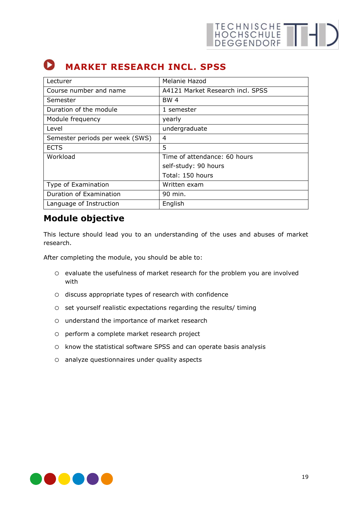## <span id="page-18-0"></span>**MARKET RESEARCH INCL. SPSS**

| Lecturer                        | Melanie Hazod                    |
|---------------------------------|----------------------------------|
| Course number and name          | A4121 Market Research incl. SPSS |
| Semester                        | BW 4                             |
| Duration of the module          | 1 semester                       |
| Module frequency                | yearly                           |
| Level                           | undergraduate                    |
| Semester periods per week (SWS) | 4                                |
| <b>ECTS</b>                     | 5                                |
| Workload                        | Time of attendance: 60 hours     |
|                                 | self-study: 90 hours             |
|                                 | Total: 150 hours                 |
| Type of Examination             | Written exam                     |
| Duration of Examination         | 90 min.                          |
| Language of Instruction         | English                          |

#### **Module objective**

This lecture should lead you to an understanding of the uses and abuses of market research.

After completing the module, you should be able to:

- o evaluate the usefulness of market research for the problem you are involved with
- o discuss appropriate types of research with confidence
- o set yourself realistic expectations regarding the results/ timing
- o understand the importance of market research
- o perform a complete market research project
- o know the statistical software SPSS and can operate basis analysis
- o analyze questionnaires under quality aspects

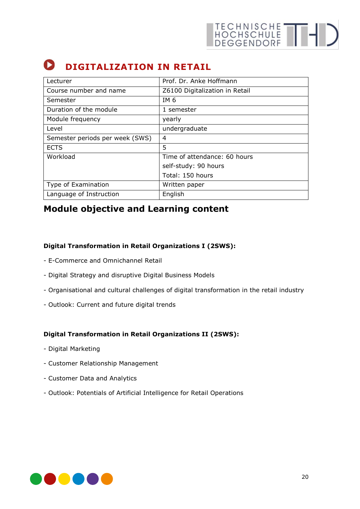## <span id="page-19-0"></span>**D** DIGITALIZATION IN RETAIL

| Lecturer                        | Prof. Dr. Anke Hoffmann        |
|---------------------------------|--------------------------------|
| Course number and name          | Z6100 Digitalization in Retail |
| Semester                        | IM 6                           |
| Duration of the module          | 1 semester                     |
| Module frequency                | yearly                         |
| Level                           | undergraduate                  |
| Semester periods per week (SWS) | 4                              |
| <b>ECTS</b>                     | 5                              |
| Workload                        | Time of attendance: 60 hours   |
|                                 | self-study: 90 hours           |
|                                 | Total: 150 hours               |
| Type of Examination             | Written paper                  |
| Language of Instruction         | English                        |

### **Module objective and Learning content**

#### **Digital Transformation in Retail Organizations I (2SWS):**

- E-Commerce and Omnichannel Retail
- Digital Strategy and disruptive Digital Business Models
- Organisational and cultural challenges of digital transformation in the retail industry
- Outlook: Current and future digital trends

#### **Digital Transformation in Retail Organizations II (2SWS):**

- Digital Marketing
- Customer Relationship Management
- Customer Data and Analytics
- Outlook: Potentials of Artificial Intelligence for Retail Operations

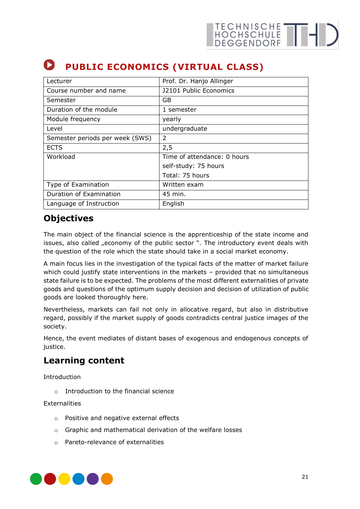## <span id="page-20-0"></span>**PUBLIC ECONOMICS (VIRTUAL CLASS)**

| Lecturer                        | Prof. Dr. Hanjo Allinger    |
|---------------------------------|-----------------------------|
| Course number and name          | J2101 Public Economics      |
| Semester                        | GB                          |
| Duration of the module          | 1 semester                  |
| Module frequency                | yearly                      |
| Level                           | undergraduate               |
| Semester periods per week (SWS) | $\mathcal{P}$               |
| <b>ECTS</b>                     | 2,5                         |
| Workload                        | Time of attendance: 0 hours |
|                                 | self-study: 75 hours        |
|                                 | Total: 75 hours             |
| Type of Examination             | Written exam                |
| Duration of Examination         | 45 min.                     |
| Language of Instruction         | English                     |

#### **Objectives**

The main object of the financial science is the apprenticeship of the state income and issues, also called "economy of the public sector ". The introductory event deals with the question of the role which the state should take in a social market economy.

A main focus lies in the investigation of the typical facts of the matter of market failure which could justify state interventions in the markets – provided that no simultaneous state failure is to be expected. The problems of the most different externalities of private goods and questions of the optimum supply decision and decision of utilization of public goods are looked thoroughly here.

Nevertheless, markets can fail not only in allocative regard, but also in distributive regard, possibly if the market supply of goods contradicts central justice images of the society.

Hence, the event mediates of distant bases of exogenous and endogenous concepts of justice.

#### **Learning content**

Introduction

 $\circ$  Introduction to the financial science

**Externalities** 

- o Positive and negative external effects
- o Graphic and mathematical derivation of the welfare losses
- o Pareto-relevance of externalities